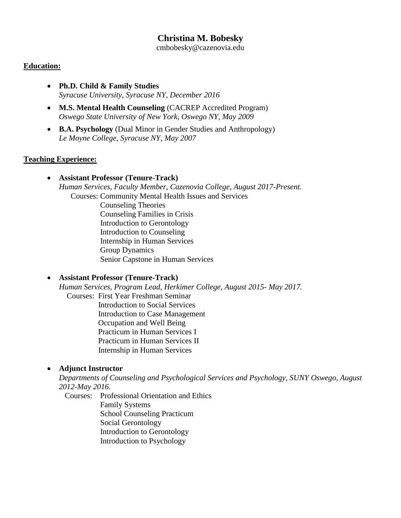# **Christina M. Bobesky**

cmbobesky@cazenovia.edu

#### **Education:**

- **Ph.D. Child & Family Studies** *Syracuse University, Syracuse NY, December 2016*
- **M.S. Mental Health Counseling** (CACREP Accredited Program) *Oswego State University of New York, Oswego NY, May 2009*
- **B.A. Psychology** (Dual Minor in Gender Studies and Anthropology) *Le Moyne College, Syracuse NY, May 2007*

#### **Teaching Experience:**

• **Assistant Professor (Tenure-Track)** *Human Services, Faculty Member, Cazenovia College, August 2017-Present.* Courses: Community Mental Health Issues and Services

 Counseling Theories Counseling Families in Crisis Introduction to Gerontology Introduction to Counseling Internship in Human Services Group Dynamics Senior Capstone in Human Services

## • **Assistant Professor (Tenure-Track)**

*Human Services, Program Lead, Herkimer College, August 2015- May 2017.* Courses: First Year Freshman Seminar Introduction to Social Services Introduction to Case Management Occupation and Well Being Practicum in Human Services I Practicum in Human Services II Internship in Human Services

## • **Adjunct Instructor**

*Departments of Counseling and Psychological Services and Psychology, SUNY Oswego, August 2012-May 2016.*

Courses: Professional Orientation and Ethics Family Systems School Counseling Practicum Social Gerontology Introduction to Gerontology Introduction to Psychology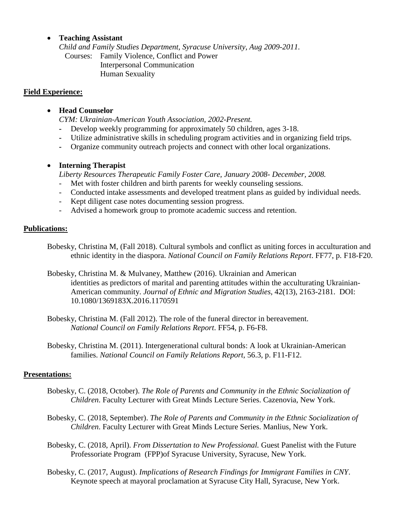## • **Teaching Assistant**

*Child and Family Studies Department, Syracuse University, Aug 2009-2011.* Courses: Family Violence, Conflict and Power Interpersonal Communication Human Sexuality

#### **Field Experience:**

## • **Head Counselor**

*CYM: Ukrainian-American Youth Association, 2002-Present.*

- **-** Develop weekly programming for approximately 50 children, ages 3-18.
- **-** Utilize administrative skills in scheduling program activities and in organizing field trips.
- **-** Organize community outreach projects and connect with other local organizations.

#### • **Interning Therapist**

*Liberty Resources Therapeutic Family Foster Care, January 2008- December, 2008.*

- Met with foster children and birth parents for weekly counseling sessions.
- Conducted intake assessments and developed treatment plans as guided by individual needs.
- Kept diligent case notes documenting session progress.
- Advised a homework group to promote academic success and retention.

#### **Publications:**

- Bobesky, Christina M, (Fall 2018). Cultural symbols and conflict as uniting forces in acculturation and ethnic identity in the diaspora. *National Council on Family Relations Report*. FF77, p. F18-F20.
- Bobesky, Christina M. & Mulvaney, Matthew (2016). Ukrainian and American identities as predictors of marital and parenting attitudes within the acculturating Ukrainian-American community. *Journal of Ethnic and Migration Studies*, 42(13), 2163-2181. DOI: 10.1080/1369183X.2016.1170591
- Bobesky, Christina M. (Fall 2012). The role of the funeral director in bereavement. *National Council on Family Relations Report*. FF54, p. F6-F8.
- Bobesky, Christina M. (2011). Intergenerational cultural bonds: A look at Ukrainian-American families. *National Council on Family Relations Report*, 56.3, p. F11-F12.

#### **Presentations:**

- Bobesky, C. (2018, October). *The Role of Parents and Community in the Ethnic Socialization of Children*. Faculty Lecturer with Great Minds Lecture Series. Cazenovia, New York.
- Bobesky, C. (2018, September). *The Role of Parents and Community in the Ethnic Socialization of Children*. Faculty Lecturer with Great Minds Lecture Series. Manlius, New York.
- Bobesky, C. (2018, April). *From Dissertation to New Professional.* Guest Panelist with the Future Professoriate Program (FPP)of Syracuse University, Syracuse, New York.
- Bobesky, C. (2017, August). *Implications of Research Findings for Immigrant Families in CNY*. Keynote speech at mayoral proclamation at Syracuse City Hall, Syracuse, New York.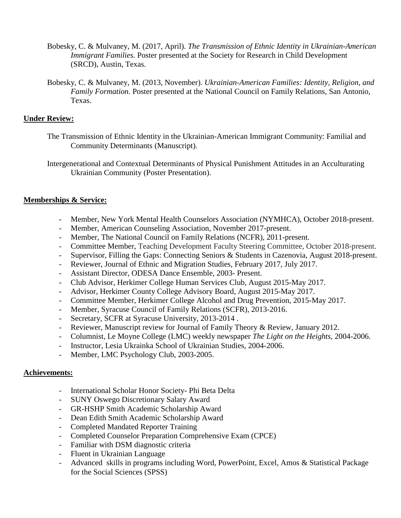- Bobesky, C. & Mulvaney, M. (2017, April). *The Transmission of Ethnic Identity in Ukrainian-American Immigrant Families.* Poster presented at the Society for Research in Child Development (SRCD), Austin, Texas.
- Bobesky, C. & Mulvaney, M. (2013, November). *Ukrainian-American Families: Identity, Religion, and Family Formation.* Poster presented at the National Council on Family Relations, San Antonio, Texas.

## **Under Review:**

- The Transmission of Ethnic Identity in the Ukrainian-American Immigrant Community: Familial and Community Determinants (Manuscript).
- Intergenerational and Contextual Determinants of Physical Punishment Attitudes in an Acculturating Ukrainian Community (Poster Presentation).

## **Memberships & Service:**

- Member, New York Mental Health Counselors Association (NYMHCA), October 2018-present.
- Member, American Counseling Association, November 2017-present.
- Member, The National Council on Family Relations (NCFR), 2011-present.
- Committee Member, Teaching Development Faculty Steering Committee, October 2018-present.
- Supervisor, Filling the Gaps: Connecting Seniors & Students in Cazenovia, August 2018-present.
- Reviewer, Journal of Ethnic and Migration Studies, February 2017, July 2017.
- Assistant Director, ODESA Dance Ensemble, 2003- Present.
- Club Advisor, Herkimer College Human Services Club, August 2015-May 2017.
- Advisor, Herkimer County College Advisory Board, August 2015-May 2017.
- Committee Member, Herkimer College Alcohol and Drug Prevention, 2015-May 2017.
- Member, Syracuse Council of Family Relations (SCFR), 2013-2016.
- Secretary, SCFR at Syracuse University, 2013-2014 .
- Reviewer, Manuscript review for Journal of Family Theory & Review, January 2012.
- Columnist, Le Moyne College (LMC) weekly newspaper *The Light on the Heights,* 2004-2006.
- Instructor, Lesia Ukrainka School of Ukrainian Studies, 2004-2006.
- Member, LMC Psychology Club, 2003-2005.

## **Achievements:**

- International Scholar Honor Society- Phi Beta Delta
- SUNY Oswego Discretionary Salary Award
- GR-HSHP Smith Academic Scholarship Award
- Dean Edith Smith Academic Scholarship Award
- Completed Mandated Reporter Training
- Completed Counselor Preparation Comprehensive Exam (CPCE)
- Familiar with DSM diagnostic criteria
- Fluent in Ukrainian Language
- Advanced skills in programs including Word, PowerPoint, Excel, Amos & Statistical Package for the Social Sciences (SPSS)